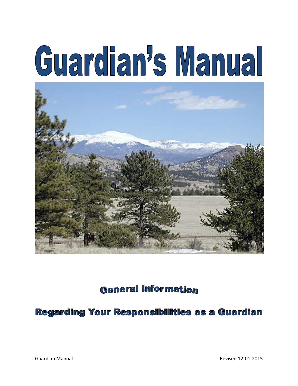# Guardian's Manual



**General Information** 

Regarding Your Responsibilities as a Guardian

Guardian Manual Revised 12-01-2015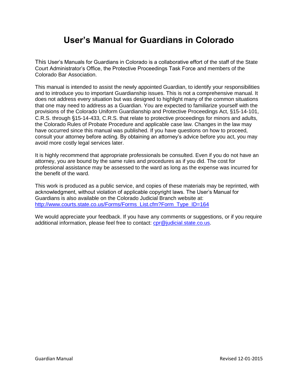# **User's Manual for Guardians in Colorado**

This User's Manuals for Guardians in Colorado is a collaborative effort of the staff of the State Court Administrator's Office, the Protective Proceedings Task Force and members of the Colorado Bar Association.

This manual is intended to assist the newly appointed Guardian, to identify your responsibilities and to introduce you to important Guardianship issues. This is not a comprehensive manual. It does not address every situation but was designed to highlight many of the common situations that one may need to address as a Guardian. You are expected to familiarize yourself with the provisions of the Colorado Uniform Guardianship and Protective Proceedings Act, §15-14-101, C.R.S. through §15-14-433, C.R.S. that relate to protective proceedings for minors and adults, the Colorado Rules of Probate Procedure and applicable case law. Changes in the law may have occurred since this manual was published. If you have questions on how to proceed, consult your attorney before acting. By obtaining an attorney's advice before you act, you may avoid more costly legal services later.

It is highly recommend that appropriate professionals be consulted. Even if you do not have an attorney, you are bound by the same rules and procedures as if you did. The cost for professional assistance may be assessed to the ward as long as the expense was incurred for the benefit of the ward.

This work is produced as a public service, and copies of these materials may be reprinted, with acknowledgment, without violation of applicable copyright laws. The User's Manual for Guardians is also available on the Colorado Judicial Branch website at: [http://www.courts.state.co.us/Forms/Forms\\_List.cfm?Form\\_Type\\_ID=164](http://www.courts.state.co.us/Forms/Forms_List.cfm?Form_Type_ID=164)

We would appreciate your feedback. If you have any comments or suggestions, or if you require additional information, please feel free to contact: [cpr@judicial.state.co.us.](mailto:cpr@judicial.state.co.us)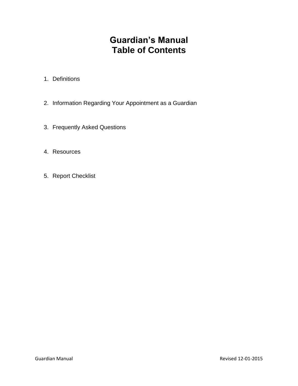# **Guardian's Manual Table of Contents**

- 1. Definitions
- 2. Information Regarding Your Appointment as a Guardian
- 3. Frequently Asked Questions
- 4. Resources
- 5. Report Checklist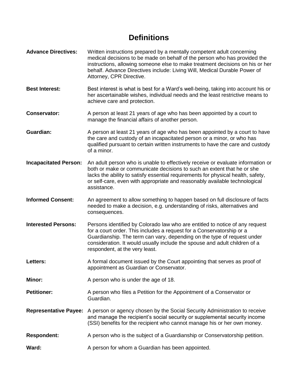# **Definitions**

**Advance Directives:** Written instructions prepared by a mentally competent adult concerning medical decisions to be made on behalf of the person who has provided the instructions, allowing someone else to make treatment decisions on his or her behalf. Advance Directives include: Living Will, Medical Durable Power of Attorney, CPR Directive. **Best Interest:** Best interest is what is best for a Ward's well-being, taking into account his or her ascertainable wishes, individual needs and the least restrictive means to achieve care and protection. **Conservator:** A person at least 21 years of age who has been appointed by a court to manage the financial affairs of another person. **Guardian:** A person at least 21 years of age who has been appointed by a court to have the care and custody of an incapacitated person or a minor, or who has qualified pursuant to certain written instruments to have the care and custody of a minor. **Incapacitated Person:** An adult person who is unable to effectively receive or evaluate information or both or make or communicate decisions to such an extent that he or she lacks the ability to satisfy essential requirements for physical health, safety, or self-care, even with appropriate and reasonably available technological assistance. **Informed Consent:** An agreement to allow something to happen based on full disclosure of facts needed to make a decision, e.g. understanding of risks, alternatives and consequences. **Interested Persons:** Persons identified by Colorado law who are entitled to notice of any request for a court order. This includes a request for a Conservatorship or a Guardianship. The term can vary, depending on the type of request under consideration. It would usually include the spouse and adult children of a respondent, at the very least. **Letters:** A formal document issued by the Court appointing that serves as proof of appointment as Guardian or Conservator. **Minor:** A person who is under the age of 18. **Petitioner:** A person who files a Petition for the Appointment of a Conservator or Guardian. **Representative Payee:** A person or agency chosen by the Social Security Administration to receive and manage the recipient's social security or supplemental security income (SSI) benefits for the recipient who cannot manage his or her own money. **Respondent:** A person who is the subject of a Guardianship or Conservatorship petition. **Ward:** A person for whom a Guardian has been appointed.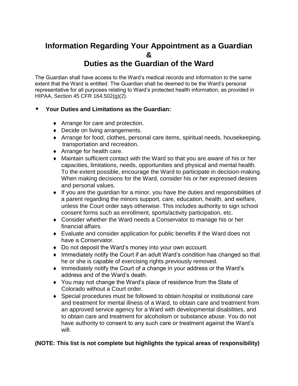# **Information Regarding Your Appointment as a Guardian &**

## **Duties as the Guardian of the Ward**

The Guardian shall have access to the Ward's medical records and information to the same extent that the Ward is entitled. The Guardian shall be deemed to be the Ward's personal representative for all purposes relating to Ward's protected health information, as provided in HIPAA, Section 45 CFR 164.502(g)(2).

## **Your Duties and Limitations as the Guardian:**

- ◆ Arrange for care and protection.
- Decide on living arrangements.
- Arrange for food, clothes, personal care items, spiritual needs, housekeeping, transportation and recreation.
- ◆ Arrange for health care.
- Maintain sufficient contact with the Ward so that you are aware of his or her capacities, limitations, needs, opportunities and physical and mental health. To the extent possible, encourage the Ward to participate in decision-making. When making decisions for the Ward, consider his or her expressed desires and personal values.
- If you are the guardian for a minor, you have the duties and responsibilities of a parent regarding the minors support, care, education, health, and welfare, unless the Court order says otherwise. This includes authority to sign school consent forms such as enrollment, sports/activity participation, etc.
- Consider whether the Ward needs a Conservator to manage his or her financial affairs.
- Evaluate and consider application for public benefits if the Ward does not have a Conservator.
- Do not deposit the Ward's money into your own account.
- Immediately notify the Court if an adult Ward's condition has changed so that he or she is capable of exercising rights previously removed.
- Immediately notify the Court of a change in your address or the Ward's address and of the Ward's death.
- You may not change the Ward's place of residence from the State of Colorado without a Court order.
- Special procedures must be followed to obtain hospital or institutional care and treatment for mental illness of a Ward, to obtain care and treatment from an approved service agency for a Ward with developmental disabilities, and to obtain care and treatment for alcoholism or substance abuse. You do not have authority to consent to any such care or treatment against the Ward's will.

## **(NOTE: This list is not complete but highlights the typical areas of responsibility)**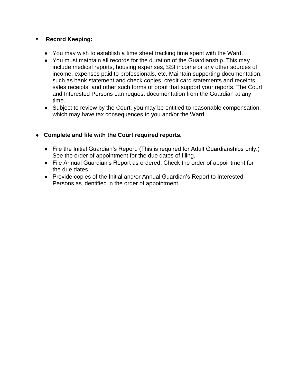## **Record Keeping:**

- You may wish to establish a time sheet tracking time spent with the Ward.
- You must maintain all records for the duration of the Guardianship. This may include medical reports, housing expenses, SSI income or any other sources of income, expenses paid to professionals, etc. Maintain supporting documentation, such as bank statement and check copies, credit card statements and receipts, sales receipts, and other such forms of proof that support your reports. The Court and Interested Persons can request documentation from the Guardian at any time.
- Subject to review by the Court, you may be entitled to reasonable compensation, which may have tax consequences to you and/or the Ward.

## **Complete and file with the Court required reports.**

- File the Initial Guardian's Report. (This is required for Adult Guardianships only.) See the order of appointment for the due dates of filing.
- File Annual Guardian's Report as ordered. Check the order of appointment for the due dates.
- Provide copies of the Initial and/or Annual Guardian's Report to Interested Persons as identified in the order of appointment.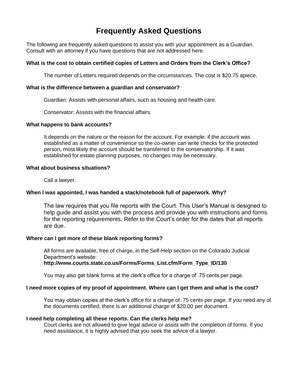# **Frequently Asked Questions**

The following are frequently asked questions to assist you with your appointment as a Guardian. Consult with an attorney if you have questions that are not addressed here.

#### **What is the cost to obtain certified copies of Letters and Orders from the Clerk's Office?**

The number of Letters required depends on the circumstances. The cost is \$20.75 apiece.

#### **What is the difference between a guardian and conservator?**

Guardian: Assists with personal affairs, such as housing and health care.

Conservator: Assists with the financial affairs.

#### **What happens to bank accounts?**

It depends on the nature or the reason for the account. For example: if the account was established as a matter of convenience so the co-owner can write checks for the protected person, most likely the account should be transferred to the conservatorship. If it was established for estate planning purposes, no changes may be necessary.

#### **What about business situations?**

Call a lawyer.

#### **When I was appointed, I was handed a stack/notebook full of paperwork. Why?**

The law requires that you file reports with the Court. This User's Manual is designed to help guide and assist you with the process and provide you with instructions and forms for the reporting requirements. Refer to the Court's order for the dates that all reports are due.

#### **Where can I get more of these blank reporting forms?**

All forms are available, free of charge, in the Self-Help section on the Colorado Judicial Department's website:

**http://www.courts.state.co.us/Forms/Forms\_List.cfm/Form\_Type\_ID/130**

You may also get blank forms at the clerk's office for a charge of .75 cents per page.

#### **I need more copies of my proof of appointment. Where can I get them and what is the cost?**

You may obtain copies at the clerk's office for a charge of .75 cents per page. If you need any of the documents certified, there is an additional charge of \$20.00 per document.

#### **I need help completing all these reports. Can the clerks help me?**

Court clerks are not allowed to give legal advice or assist with the completion of forms. If you need assistance, it is highly advised that you seek the advice of a lawyer.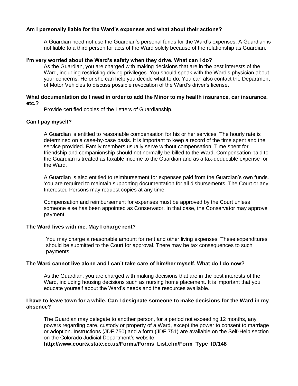#### **Am I personally liable for the Ward's expenses and what about their actions?**

A Guardian need not use the Guardian's personal funds for the Ward's expenses. A Guardian is not liable to a third person for acts of the Ward solely because of the relationship as Guardian.

#### **I'm very worried about the Ward's safety when they drive. What can I do?**

As the Guardian, you are charged with making decisions that are in the best interests of the Ward, including restricting driving privileges. You should speak with the Ward's physician about your concerns. He or she can help you decide what to do. You can also contact the Department of Motor Vehicles to discuss possible revocation of the Ward's driver's license.

#### **What documentation do I need in order to add the Minor to my health insurance, car insurance, etc.?**

Provide certified copies of the Letters of Guardianship.

#### **Can I pay myself?**

A Guardian is entitled to reasonable compensation for his or her services. The hourly rate is determined on a case-by-case basis. It is important to keep a record of the time spent and the service provided. Family members usually serve without compensation. Time spent for friendship and companionship should not normally be billed to the Ward. Compensation paid to the Guardian is treated as taxable income to the Guardian and as a tax-deductible expense for the Ward.

A Guardian is also entitled to reimbursement for expenses paid from the Guardian's own funds. You are required to maintain supporting documentation for all disbursements. The Court or any Interested Persons may request copies at any time.

Compensation and reimbursement for expenses must be approved by the Court unless someone else has been appointed as Conservator. In that case, the Conservator may approve payment.

#### **The Ward lives with me. May I charge rent?**

You may charge a reasonable amount for rent and other living expenses. These expenditures should be submitted to the Court for approval. There may be tax consequences to such payments.

#### **The Ward cannot live alone and I can't take care of him/her myself. What do I do now?**

As the Guardian, you are charged with making decisions that are in the best interests of the Ward, including housing decisions such as nursing home placement. It is important that you educate yourself about the Ward's needs and the resources available.

#### **I have to leave town for a while. Can I designate someone to make decisions for the Ward in my absence?**

The Guardian may delegate to another person, for a period not exceeding 12 months, any powers regarding care, custody or property of a Ward, except the power to consent to marriage or adoption. Instructions (JDF 750) and a form (JDF 751) are available on the Self-Help section on the Colorado Judicial Department's website:

**http://www.courts.state.co.us/Forms/Forms\_List.cfm/Form\_Type\_ID/148**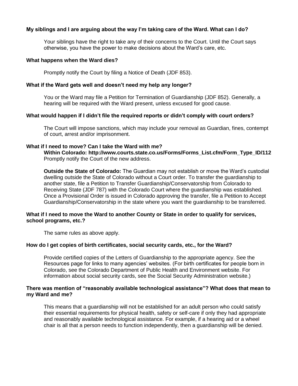#### **My siblings and I are arguing about the way I'm taking care of the Ward. What can I do?**

Your siblings have the right to take any of their concerns to the Court. Until the Court says otherwise, you have the power to make decisions about the Ward's care, etc.

#### **What happens when the Ward dies?**

Promptly notify the Court by filing a Notice of Death (JDF 853).

#### **What if the Ward gets well and doesn't need my help any longer?**

You or the Ward may file a Petition for Termination of Guardianship (JDF 852). Generally, a hearing will be required with the Ward present, unless excused for good cause.

#### **What would happen if I didn't file the required reports or didn't comply with court orders?**

The Court will impose sanctions, which may include your removal as Guardian, fines, contempt of court, arrest and/or imprisonment.

#### **What if I need to move? Can I take the Ward with me?**

**Within Colorado: http://www.courts.state.co.us/Forms/Forms\_List.cfm/Form\_Type\_ID/112** Promptly notify the Court of the new address.

**Outside the State of Colorado:** The Guardian may not establish or move the Ward's custodial dwelling outside the State of Colorado without a Court order. To transfer the guardianship to another state, file a Petition to Transfer Guardianship/Conservatorship from Colorado to Receiving State (JDF 787) with the Colorado Court where the guardianship was established. Once a Provisional Order is issued in Colorado approving the transfer, file a Petition to Accept Guardianship/Conservatorship in the state where you want the guardianship to be transferred.

#### **What if I need to move the Ward to another County or State in order to qualify for services, school programs, etc.?**

The same rules as above apply.

#### **How do I get copies of birth certificates, social security cards, etc., for the Ward?**

Provide certified copies of the Letters of Guardianship to the appropriate agency. See the Resources page for links to many agencies' websites. (For birth certificates for people born in Colorado, see the Colorado Department of Public Health and Environment website. For information about social security cards, see the Social Security Administration website.)

#### **There was mention of "reasonably available technological assistance"? What does that mean to my Ward and me?**

This means that a guardianship will not be established for an adult person who could satisfy their essential requirements for physical health, safety or self-care if only they had appropriate and reasonably available technological assistance. For example, if a hearing aid or a wheel chair is all that a person needs to function independently, then a guardianship will be denied.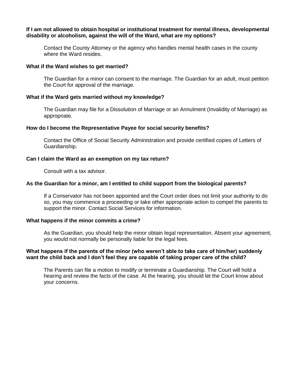#### **If I am not allowed to obtain hospital or institutional treatment for mental illness, developmental disability or alcoholism, against the will of the Ward, what are my options?**

Contact the County Attorney or the agency who handles mental health cases in the county where the Ward resides.

#### **What if the Ward wishes to get married?**

The Guardian for a minor can consent to the marriage. The Guardian for an adult, must petition the Court for approval of the marriage.

#### **What if the Ward gets married without my knowledge?**

The Guardian may file for a Dissolution of Marriage or an Annulment (Invalidity of Marriage) as appropriate.

#### **How do I become the Representative Payee for social security benefits?**

Contact the Office of Social Security Administration and provide certified copies of Letters of Guardianship.

#### **Can I claim the Ward as an exemption on my tax return?**

Consult with a tax advisor.

#### **As the Guardian for a minor, am I entitled to child support from the biological parents?**

If a Conservator has not been appointed and the Court order does not limit your authority to do so, you may commence a proceeding or take other appropriate action to compel the parents to support the minor. Contact Social Services for information.

#### **What happens if the minor commits a crime?**

As the Guardian, you should help the minor obtain legal representation. Absent your agreement, you would not normally be personally liable for the legal fees.

#### **What happens if the parents of the minor (who weren't able to take care of him/her) suddenly want the child back and I don't feel they are capable of taking proper care of the child?**

The Parents can file a motion to modify or terminate a Guardianship. The Court will hold a hearing and review the facts of the case. At the hearing, you should let the Court know about your concerns.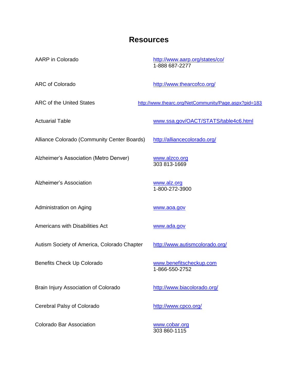## **Resources**

AARP in Colorado <http://www.aarp.org/states/co/> 1-888 687-2277

ARC of Colorado <http://www.thearcofco.org/>

ARC of the United States <http://www.thearc.org/NetCommunity/Page.aspx?pid=183>

Actuarial Table **WIREL Actuarial Table 4c6.html** 

Alliance Colorado (Community Center Boards) <http://alliancecolorado.org/>

Alzheimer's Association (Metro Denver) [www.alzco.org](http://www.alzco.org/)

Alzheimer's Association [www.alz.org](http://www.alz.org/)

Administration on Aging [www.aoa.gov](http://www.aoa.gov/)

Americans with Disabilities Act [www.ada.gov](http://www.ada.gov/)

Autism Society of America, Colorado Chapter <http://www.autismcolorado.org/>

Benefits Check Up Colorado [www.benefitscheckup.com](http://www.benefitscheckup.com/)

Brain Injury Association of Colorado <http://www.biacolorado.org/>

Cerebral Palsy of Colorado <http://www.cpco.org/>

Colorado Bar Association [www.cobar.org](http://www.cobar.org/)

303 813-1669

1-800-272-3900

1-866-550-2752

303 860-1115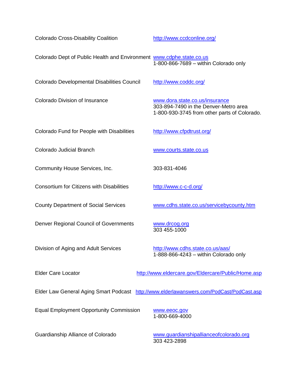Colorado Cross-Disability Coalition <http://www.ccdconline.org/> Colorado Dept of Public Health and Environment [www.cdphe.state.co.us](http://www.cdphe.state.co.us/) 1-800-866-7689 – within Colorado only Colorado Developmental Disabilities Council <http://www.coddc.org/> Colorado Division of Insurance [www.dora.state.co.us/insurance](http://www.dora.state.co.us/insurance) 303-894-7490 in the Denver-Metro area 1-800-930-3745 from other parts of Colorado. Colorado Fund for People with Disabilities <http://www.cfpdtrust.org/> Colorado Judicial Branch WWW.courts.state.co.us Community House Services, Inc. 303-831-4046 Consortium for Citizens with Disabilities <http://www.c-c-d.org/> County Department of Social Services [www.cdhs.state.co.us/servicebycounty.htm](http://www.cdhs.state.co.us/servicebycounty.htm) Denver Regional Council of Governments [www.drcog.org](http://www.drcog.org/) 303 455-1000 Division of Aging and Adult Services <http://www.cdhs.state.co.us/aas/> 1-888-866-4243 – within Colorado only Elder Care Locator <http://www.eldercare.gov/Eldercare/Public/Home.asp> Elder Law General Aging Smart Podcast <http://www.elderlawanswers.com/PodCast/PodCast.asp> Equal Employment Opportunity Commission [www.eeoc.gov](http://www.eeoc.gov/) 1-800-669-4000 Guardianship Alliance of Colorado [www.guardianshipallianceofcolorado.org](http://www.guardianshipallianceofcolorado.org/) 303 423-2898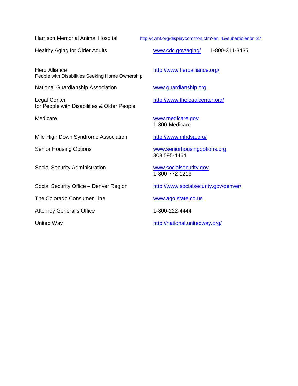Hero Alliance <http://www.heroalliance.org/> People with Disabilities Seeking Home Ownership

National Guardianship Association [www.guardianship.org](http://www.guardianship.org/)

Legal Center <http://www.thelegalcenter.org/> for People with Disabilities & Older People

Mile High Down Syndrome Association <http://www.mhdsa.org/>

Social Security Administration [www.socialsecurity.gov](http://www.socialsecurity.gov/)

Social Security Office – Denver Region <http://www.socialsecurity.gov/denver/>

The Colorado Consumer Line [www.ago.state.co.us](http://www.ago.state.co.us/)

Attorney General's Office 1-800-222-4444

Harrison Memorial Animal Hospital <http://cvmf.org/displaycommon.cfm?an=1&subarticlenbr=27>

Healthy Aging for Older Adults [www.cdc.gov/aging/](http://www.cdc.gov/aging/) 1-800-311-3435

Medicare [www.medicare.gov](http://www.medicare.gov/) 1-800-Medicare

Senior Housing Options [www.seniorhousingoptions.org](http://www.seniorhousingoptions.org/) 303 595-4464

1-800-772-1213

United Way <http://national.unitedway.org/>